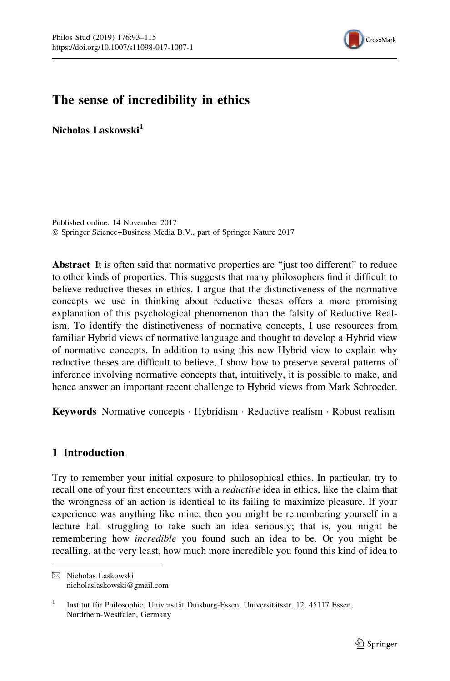

# <span id="page-0-0"></span>The sense of incredibility in ethics

Nicholas Laskowski<sup>1</sup>

Published online: 14 November 2017 © Springer Science+Business Media B.V., part of Springer Nature 2017

Abstract It is often said that normative properties are "just too different" to reduce to other kinds of properties. This suggests that many philosophers find it difficult to believe reductive theses in ethics. I argue that the distinctiveness of the normative concepts we use in thinking about reductive theses offers a more promising explanation of this psychological phenomenon than the falsity of Reductive Realism. To identify the distinctiveness of normative concepts, I use resources from familiar Hybrid views of normative language and thought to develop a Hybrid view of normative concepts. In addition to using this new Hybrid view to explain why reductive theses are difficult to believe, I show how to preserve several patterns of inference involving normative concepts that, intuitively, it is possible to make, and hence answer an important recent challenge to Hybrid views from Mark Schroeder.

Keywords Normative concepts · Hybridism · Reductive realism · Robust realism

# 1 Introduction

Try to remember your initial exposure to philosophical ethics. In particular, try to recall one of your first encounters with a *reductive* idea in ethics, like the claim that the wrongness of an action is identical to its failing to maximize pleasure. If your experience was anything like mine, then you might be remembering yourself in a lecture hall struggling to take such an idea seriously; that is, you might be remembering how incredible you found such an idea to be. Or you might be recalling, at the very least, how much more incredible you found this kind of idea to

<sup>&</sup>amp; Nicholas Laskowski nicholaslaskowski@gmail.com

<sup>&</sup>lt;sup>1</sup> Institut für Philosophie, Universität Duisburg-Essen, Universitätsstr. 12, 45117 Essen, Nordrhein-Westfalen, Germany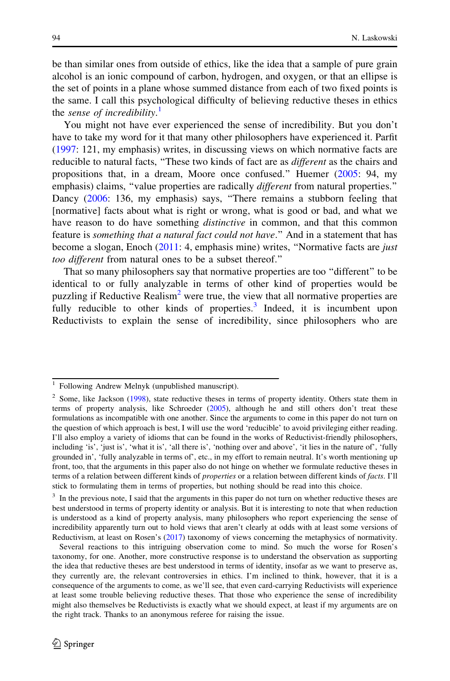be than similar ones from outside of ethics, like the idea that a sample of pure grain alcohol is an ionic compound of carbon, hydrogen, and oxygen, or that an ellipse is the set of points in a plane whose summed distance from each of two fixed points is the same. I call this psychological difficulty of believing reductive theses in ethics the sense of incredibility.<sup>1</sup>

You might not have ever experienced the sense of incredibility. But you don't have to take my word for it that many other philosophers have experienced it. Parfit [\(1997](#page-22-0): 121, my emphasis) writes, in discussing views on which normative facts are reducible to natural facts, ''These two kinds of fact are as different as the chairs and propositions that, in a dream, Moore once confused.'' Huemer ([2005:](#page-21-0) 94, my emphasis) claims, "value properties are radically *different* from natural properties." Dancy [\(2006](#page-21-0): 136, my emphasis) says, "There remains a stubborn feeling that [normative] facts about what is right or wrong, what is good or bad, and what we have reason to do have something *distinctive* in common, and that this common feature is *something that a natural fact could not have*." And in a statement that has become a slogan, Enoch  $(2011: 4$  $(2011: 4$  $(2011: 4$ , emphasis mine) writes, "Normative facts are *just* too different from natural ones to be a subset thereof.''

That so many philosophers say that normative properties are too ''different'' to be identical to or fully analyzable in terms of other kind of properties would be puzzling if Reductive Realism<sup>2</sup> were true, the view that all normative properties are fully reducible to other kinds of properties.<sup>3</sup> Indeed, it is incumbent upon Reductivists to explain the sense of incredibility, since philosophers who are

<sup>&</sup>lt;sup>1</sup> Following Andrew Melnyk (unpublished manuscript).

 $2$  Some, like Jackson ([1998\)](#page-22-0), state reductive theses in terms of property identity. Others state them in terms of property analysis, like Schroeder ([2005\)](#page-22-0), although he and still others don't treat these formulations as incompatible with one another. Since the arguments to come in this paper do not turn on the question of which approach is best, I will use the word 'reducible' to avoid privileging either reading. I'll also employ a variety of idioms that can be found in the works of Reductivist-friendly philosophers, including 'is', 'just is', 'what it is', 'all there is', 'nothing over and above', 'it lies in the nature of', 'fully grounded in', 'fully analyzable in terms of', etc., in my effort to remain neutral. It's worth mentioning up front, too, that the arguments in this paper also do not hinge on whether we formulate reductive theses in terms of a relation between different kinds of properties or a relation between different kinds of facts. I'll stick to formulating them in terms of properties, but nothing should be read into this choice.

 $3\,$  In the previous note, I said that the arguments in this paper do not turn on whether reductive theses are best understood in terms of property identity or analysis. But it is interesting to note that when reduction is understood as a kind of property analysis, many philosophers who report experiencing the sense of incredibility apparently turn out to hold views that aren't clearly at odds with at least some versions of Reductivism, at least on Rosen's [\(2017](#page-22-0)) taxonomy of views concerning the metaphysics of normativity.

Several reactions to this intriguing observation come to mind. So much the worse for Rosen's taxonomy, for one. Another, more constructive response is to understand the observation as supporting the idea that reductive theses are best understood in terms of identity, insofar as we want to preserve as, they currently are, the relevant controversies in ethics. I'm inclined to think, however, that it is a consequence of the arguments to come, as we'll see, that even card-carrying Reductivists will experience at least some trouble believing reductive theses. That those who experience the sense of incredibility might also themselves be Reductivists is exactly what we should expect, at least if my arguments are on the right track. Thanks to an anonymous referee for raising the issue.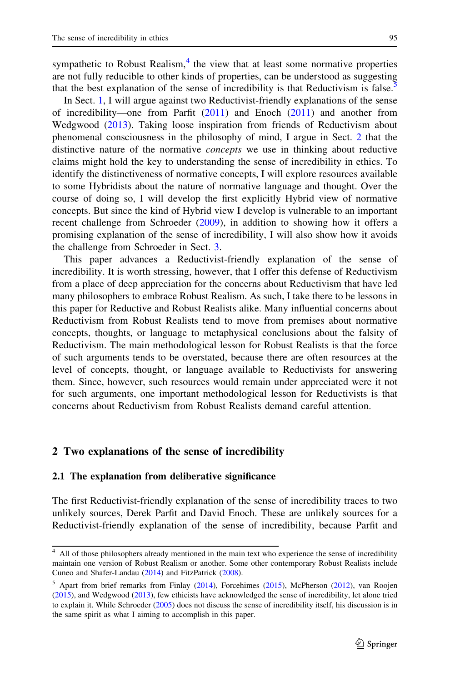<span id="page-2-0"></span>sympathetic to Robust Realism, $<sup>4</sup>$  the view that at least some normative properties</sup> are not fully reducible to other kinds of properties, can be understood as suggesting that the best explanation of the sense of incredibility is that Reductivism is false.<sup>5</sup>

In Sect. [1,](#page-0-0) I will argue against two Reductivist-friendly explanations of the sense of incredibility—one from Parfit [\(2011](#page-22-0)) and Enoch ([2011\)](#page-21-0) and another from Wedgwood [\(2013\)](#page-22-0). Taking loose inspiration from friends of Reductivism about phenomenal consciousness in the philosophy of mind, I argue in Sect. 2 that the distinctive nature of the normative concepts we use in thinking about reductive claims might hold the key to understanding the sense of incredibility in ethics. To identify the distinctiveness of normative concepts, I will explore resources available to some Hybridists about the nature of normative language and thought. Over the course of doing so, I will develop the first explicitly Hybrid view of normative concepts. But since the kind of Hybrid view I develop is vulnerable to an important recent challenge from Schroeder ([2009\)](#page-22-0), in addition to showing how it offers a promising explanation of the sense of incredibility, I will also show how it avoids the challenge from Schroeder in Sect. [3](#page-5-0).

This paper advances a Reductivist-friendly explanation of the sense of incredibility. It is worth stressing, however, that I offer this defense of Reductivism from a place of deep appreciation for the concerns about Reductivism that have led many philosophers to embrace Robust Realism. As such, I take there to be lessons in this paper for Reductive and Robust Realists alike. Many influential concerns about Reductivism from Robust Realists tend to move from premises about normative concepts, thoughts, or language to metaphysical conclusions about the falsity of Reductivism. The main methodological lesson for Robust Realists is that the force of such arguments tends to be overstated, because there are often resources at the level of concepts, thought, or language available to Reductivists for answering them. Since, however, such resources would remain under appreciated were it not for such arguments, one important methodological lesson for Reductivists is that concerns about Reductivism from Robust Realists demand careful attention.

### 2 Two explanations of the sense of incredibility

### 2.1 The explanation from deliberative significance

The first Reductivist-friendly explanation of the sense of incredibility traces to two unlikely sources, Derek Parfit and David Enoch. These are unlikely sources for a Reductivist-friendly explanation of the sense of incredibility, because Parfit and

<sup>&</sup>lt;sup>4</sup> All of those philosophers already mentioned in the main text who experience the sense of incredibility maintain one version of Robust Realism or another. Some other contemporary Robust Realists include Cuneo and Shafer-Landau [\(2014](#page-21-0)) and FitzPatrick ([2008\)](#page-21-0).

 $5$  Apart from brief remarks from Finlay [\(2014](#page-21-0)), Forcehimes ([2015\)](#page-21-0), McPherson [\(2012](#page-22-0)), van Roojen ([2015\)](#page-22-0), and Wedgwood [\(2013](#page-22-0)), few ethicists have acknowledged the sense of incredibility, let alone tried to explain it. While Schroeder [\(2005](#page-22-0)) does not discuss the sense of incredibility itself, his discussion is in the same spirit as what I aiming to accomplish in this paper.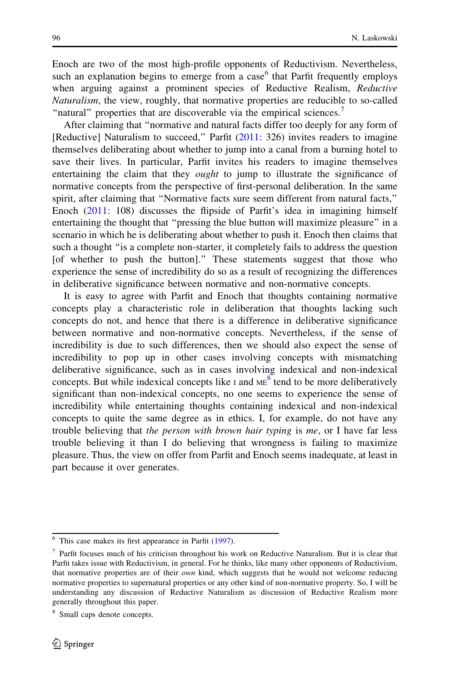Enoch are two of the most high-profile opponents of Reductivism. Nevertheless, such an explanation begins to emerge from a case $<sup>6</sup>$  that Parfit frequently employs</sup> when arguing against a prominent species of Reductive Realism, Reductive Naturalism, the view, roughly, that normative properties are reducible to so-called "natural" properties that are discoverable via the empirical sciences."

After claiming that ''normative and natural facts differ too deeply for any form of [Reductive] Naturalism to succeed," Parfit [\(2011](#page-22-0): 326) invites readers to imagine themselves deliberating about whether to jump into a canal from a burning hotel to save their lives. In particular, Parfit invites his readers to imagine themselves entertaining the claim that they *ought* to jump to illustrate the significance of normative concepts from the perspective of first-personal deliberation. In the same spirit, after claiming that ''Normative facts sure seem different from natural facts,'' Enoch [\(2011:](#page-21-0) 108) discusses the flipside of Parfit's idea in imagining himself entertaining the thought that ''pressing the blue button will maximize pleasure'' in a scenario in which he is deliberating about whether to push it. Enoch then claims that such a thought ''is a complete non-starter, it completely fails to address the question [of whether to push the button].'' These statements suggest that those who experience the sense of incredibility do so as a result of recognizing the differences in deliberative significance between normative and non-normative concepts.

It is easy to agree with Parfit and Enoch that thoughts containing normative concepts play a characteristic role in deliberation that thoughts lacking such concepts do not, and hence that there is a difference in deliberative significance between normative and non-normative concepts. Nevertheless, if the sense of incredibility is due to such differences, then we should also expect the sense of incredibility to pop up in other cases involving concepts with mismatching deliberative significance, such as in cases involving indexical and non-indexical concepts. But while indexical concepts like I and  $ME<sup>8</sup>$  tend to be more deliberatively significant than non-indexical concepts, no one seems to experience the sense of incredibility while entertaining thoughts containing indexical and non-indexical concepts to quite the same degree as in ethics. I, for example, do not have any trouble believing that *the person with brown hair typing* is *me*, or I have far less trouble believing it than I do believing that wrongness is failing to maximize pleasure. Thus, the view on offer from Parfit and Enoch seems inadequate, at least in part because it over generates.

<sup>&</sup>lt;sup>6</sup> This case makes its first appearance in Parfit [\(1997](#page-22-0)).

 $7$  Parfit focuses much of his criticism throughout his work on Reductive Naturalism. But it is clear that Parfit takes issue with Reductivism, in general. For he thinks, like many other opponents of Reductivism, that normative properties are of their *own* kind, which suggests that he would not welcome reducing normative properties to supernatural properties or any other kind of non-normative property. So, I will be understanding any discussion of Reductive Naturalism as discussion of Reductive Realism more generally throughout this paper.

<sup>8</sup> Small caps denote concepts.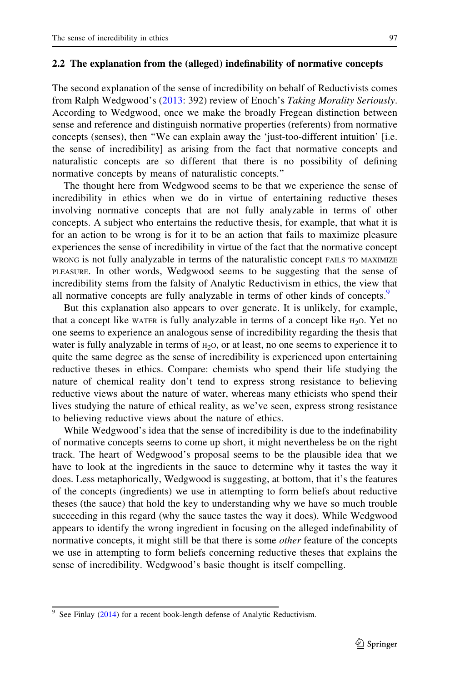### 2.2 The explanation from the (alleged) indefinability of normative concepts

The second explanation of the sense of incredibility on behalf of Reductivists comes from Ralph Wedgwood's ([2013:](#page-22-0) 392) review of Enoch's Taking Morality Seriously. According to Wedgwood, once we make the broadly Fregean distinction between sense and reference and distinguish normative properties (referents) from normative concepts (senses), then ''We can explain away the 'just-too-different intuition' [i.e. the sense of incredibility] as arising from the fact that normative concepts and naturalistic concepts are so different that there is no possibility of defining normative concepts by means of naturalistic concepts.''

The thought here from Wedgwood seems to be that we experience the sense of incredibility in ethics when we do in virtue of entertaining reductive theses involving normative concepts that are not fully analyzable in terms of other concepts. A subject who entertains the reductive thesis, for example, that what it is for an action to be wrong is for it to be an action that fails to maximize pleasure experiences the sense of incredibility in virtue of the fact that the normative concept WRONG is not fully analyzable in terms of the naturalistic concept FAILS TO MAXIMIZE PLEASURE. In other words, Wedgwood seems to be suggesting that the sense of incredibility stems from the falsity of Analytic Reductivism in ethics, the view that all normative concepts are fully analyzable in terms of other kinds of concepts.<sup>9</sup>

But this explanation also appears to over generate. It is unlikely, for example, that a concept like ware is fully analyzable in terms of a concept like  $H<sub>2</sub>O$ . Yet no one seems to experience an analogous sense of incredibility regarding the thesis that water is fully analyzable in terms of  $_{12}$ O, or at least, no one seems to experience it to quite the same degree as the sense of incredibility is experienced upon entertaining reductive theses in ethics. Compare: chemists who spend their life studying the nature of chemical reality don't tend to express strong resistance to believing reductive views about the nature of water, whereas many ethicists who spend their lives studying the nature of ethical reality, as we've seen, express strong resistance to believing reductive views about the nature of ethics.

While Wedgwood's idea that the sense of incredibility is due to the indefinability of normative concepts seems to come up short, it might nevertheless be on the right track. The heart of Wedgwood's proposal seems to be the plausible idea that we have to look at the ingredients in the sauce to determine why it tastes the way it does. Less metaphorically, Wedgwood is suggesting, at bottom, that it's the features of the concepts (ingredients) we use in attempting to form beliefs about reductive theses (the sauce) that hold the key to understanding why we have so much trouble succeeding in this regard (why the sauce tastes the way it does). While Wedgwood appears to identify the wrong ingredient in focusing on the alleged indefinability of normative concepts, it might still be that there is some *other* feature of the concepts we use in attempting to form beliefs concerning reductive theses that explains the sense of incredibility. Wedgwood's basic thought is itself compelling.

 $9$  See Finlay ([2014\)](#page-21-0) for a recent book-length defense of Analytic Reductivism.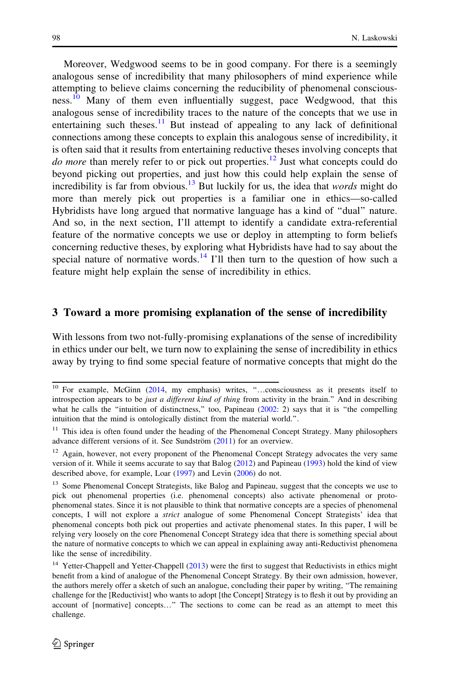<span id="page-5-0"></span>Moreover, Wedgwood seems to be in good company. For there is a seemingly analogous sense of incredibility that many philosophers of mind experience while attempting to believe claims concerning the reducibility of phenomenal consciousness.<sup>10</sup> Many of them even influentially suggest, pace Wedgwood, that this analogous sense of incredibility traces to the nature of the concepts that we use in entertaining such theses.<sup>11</sup> But instead of appealing to any lack of definitional connections among these concepts to explain this analogous sense of incredibility, it is often said that it results from entertaining reductive theses involving concepts that *do more* than merely refer to or pick out properties.<sup>12</sup> Just what concepts could do beyond picking out properties, and just how this could help explain the sense of incredibility is far from obvious.<sup>13</sup> But luckily for us, the idea that *words* might do more than merely pick out properties is a familiar one in ethics—so-called Hybridists have long argued that normative language has a kind of ''dual'' nature. And so, in the next section, I'll attempt to identify a candidate extra-referential feature of the normative concepts we use or deploy in attempting to form beliefs concerning reductive theses, by exploring what Hybridists have had to say about the special nature of normative words.<sup>14</sup> I'll then turn to the question of how such a feature might help explain the sense of incredibility in ethics.

### 3 Toward a more promising explanation of the sense of incredibility

With lessons from two not-fully-promising explanations of the sense of incredibility in ethics under our belt, we turn now to explaining the sense of incredibility in ethics away by trying to find some special feature of normative concepts that might do the

<sup>&</sup>lt;sup>10</sup> For example, McGinn [\(2014](#page-22-0), my emphasis) writes, "...consciousness as it presents itself to introspection appears to be *just a different kind of thing* from activity in the brain." And in describing what he calls the "intuition of distinctness," too, Papineau [\(2002](#page-22-0): 2) says that it is "the compelling intuition that the mind is ontologically distinct from the material world.''.

<sup>&</sup>lt;sup>11</sup> This idea is often found under the heading of the Phenomenal Concept Strategy. Many philosophers advance different versions of it. See Sundström  $(2011)$  $(2011)$  for an overview.

<sup>&</sup>lt;sup>12</sup> Again, however, not every proponent of the Phenomenal Concept Strategy advocates the very same version of it. While it seems accurate to say that Balog [\(2012\)](#page-21-0) and Papineau [\(1993](#page-22-0)) hold the kind of view described above, for example, Loar ([1997\)](#page-22-0) and Levin [\(2006](#page-22-0)) do not.

<sup>&</sup>lt;sup>13</sup> Some Phenomenal Concept Strategists, like Balog and Papineau, suggest that the concepts we use to pick out phenomenal properties (i.e. phenomenal concepts) also activate phenomenal or protophenomenal states. Since it is not plausible to think that normative concepts are a species of phenomenal concepts, I will not explore a strict analogue of some Phenomenal Concept Strategists' idea that phenomenal concepts both pick out properties and activate phenomenal states. In this paper, I will be relying very loosely on the core Phenomenal Concept Strategy idea that there is something special about the nature of normative concepts to which we can appeal in explaining away anti-Reductivist phenomena like the sense of incredibility.

<sup>&</sup>lt;sup>14</sup> Yetter-Chappell and Yetter-Chappell ([2013\)](#page-22-0) were the first to suggest that Reductivists in ethics might benefit from a kind of analogue of the Phenomenal Concept Strategy. By their own admission, however, the authors merely offer a sketch of such an analogue, concluding their paper by writing, ''The remaining challenge for the [Reductivist] who wants to adopt [the Concept] Strategy is to flesh it out by providing an account of [normative] concepts…'' The sections to come can be read as an attempt to meet this challenge.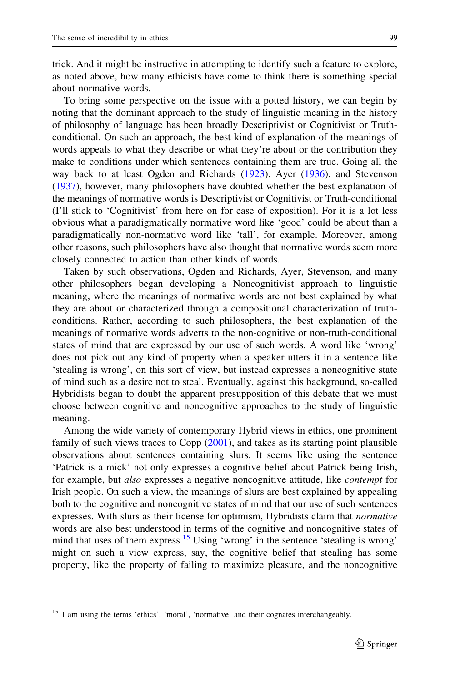trick. And it might be instructive in attempting to identify such a feature to explore, as noted above, how many ethicists have come to think there is something special about normative words.

To bring some perspective on the issue with a potted history, we can begin by noting that the dominant approach to the study of linguistic meaning in the history of philosophy of language has been broadly Descriptivist or Cognitivist or Truthconditional. On such an approach, the best kind of explanation of the meanings of words appeals to what they describe or what they're about or the contribution they make to conditions under which sentences containing them are true. Going all the way back to at least Ogden and Richards ([1923\)](#page-22-0), Ayer [\(1936](#page-21-0)), and Stevenson [\(1937](#page-22-0)), however, many philosophers have doubted whether the best explanation of the meanings of normative words is Descriptivist or Cognitivist or Truth-conditional (I'll stick to 'Cognitivist' from here on for ease of exposition). For it is a lot less obvious what a paradigmatically normative word like 'good' could be about than a paradigmatically non-normative word like 'tall', for example. Moreover, among other reasons, such philosophers have also thought that normative words seem more closely connected to action than other kinds of words.

Taken by such observations, Ogden and Richards, Ayer, Stevenson, and many other philosophers began developing a Noncognitivist approach to linguistic meaning, where the meanings of normative words are not best explained by what they are about or characterized through a compositional characterization of truthconditions. Rather, according to such philosophers, the best explanation of the meanings of normative words adverts to the non-cognitive or non-truth-conditional states of mind that are expressed by our use of such words. A word like 'wrong' does not pick out any kind of property when a speaker utters it in a sentence like 'stealing is wrong', on this sort of view, but instead expresses a noncognitive state of mind such as a desire not to steal. Eventually, against this background, so-called Hybridists began to doubt the apparent presupposition of this debate that we must choose between cognitive and noncognitive approaches to the study of linguistic meaning.

Among the wide variety of contemporary Hybrid views in ethics, one prominent family of such views traces to Copp [\(2001](#page-21-0)), and takes as its starting point plausible observations about sentences containing slurs. It seems like using the sentence 'Patrick is a mick' not only expresses a cognitive belief about Patrick being Irish, for example, but also expresses a negative noncognitive attitude, like contempt for Irish people. On such a view, the meanings of slurs are best explained by appealing both to the cognitive and noncognitive states of mind that our use of such sentences expresses. With slurs as their license for optimism, Hybridists claim that normative words are also best understood in terms of the cognitive and noncognitive states of mind that uses of them express.<sup>15</sup> Using 'wrong' in the sentence 'stealing is wrong' might on such a view express, say, the cognitive belief that stealing has some property, like the property of failing to maximize pleasure, and the noncognitive

<sup>&</sup>lt;sup>15</sup> I am using the terms 'ethics', 'moral', 'normative' and their cognates interchangeably.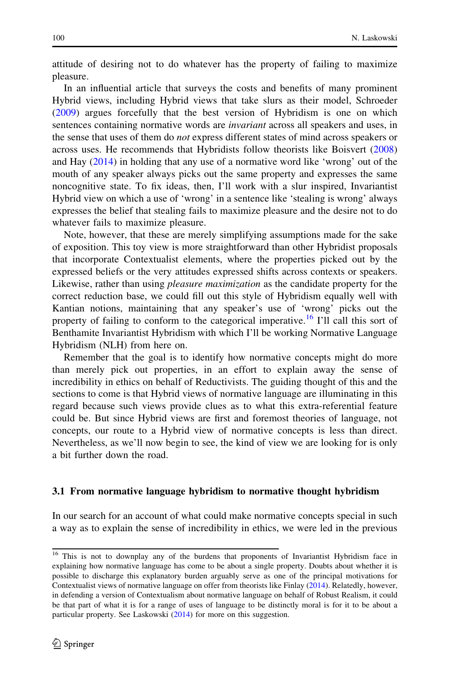attitude of desiring not to do whatever has the property of failing to maximize pleasure.

In an influential article that surveys the costs and benefits of many prominent Hybrid views, including Hybrid views that take slurs as their model, Schroeder [\(2009](#page-22-0)) argues forcefully that the best version of Hybridism is one on which sentences containing normative words are invariant across all speakers and uses, in the sense that uses of them do *not* express different states of mind across speakers or across uses. He recommends that Hybridists follow theorists like Boisvert [\(2008](#page-21-0)) and Hay ([2014\)](#page-21-0) in holding that any use of a normative word like 'wrong' out of the mouth of any speaker always picks out the same property and expresses the same noncognitive state. To fix ideas, then, I'll work with a slur inspired, Invariantist Hybrid view on which a use of 'wrong' in a sentence like 'stealing is wrong' always expresses the belief that stealing fails to maximize pleasure and the desire not to do whatever fails to maximize pleasure.

Note, however, that these are merely simplifying assumptions made for the sake of exposition. This toy view is more straightforward than other Hybridist proposals that incorporate Contextualist elements, where the properties picked out by the expressed beliefs or the very attitudes expressed shifts across contexts or speakers. Likewise, rather than using *pleasure maximization* as the candidate property for the correct reduction base, we could fill out this style of Hybridism equally well with Kantian notions, maintaining that any speaker's use of 'wrong' picks out the property of failing to conform to the categorical imperative.<sup>16</sup> I'll call this sort of Benthamite Invariantist Hybridism with which I'll be working Normative Language Hybridism (NLH) from here on.

Remember that the goal is to identify how normative concepts might do more than merely pick out properties, in an effort to explain away the sense of incredibility in ethics on behalf of Reductivists. The guiding thought of this and the sections to come is that Hybrid views of normative language are illuminating in this regard because such views provide clues as to what this extra-referential feature could be. But since Hybrid views are first and foremost theories of language, not concepts, our route to a Hybrid view of normative concepts is less than direct. Nevertheless, as we'll now begin to see, the kind of view we are looking for is only a bit further down the road.

### 3.1 From normative language hybridism to normative thought hybridism

In our search for an account of what could make normative concepts special in such a way as to explain the sense of incredibility in ethics, we were led in the previous

<sup>&</sup>lt;sup>16</sup> This is not to downplay any of the burdens that proponents of Invariantist Hybridism face in explaining how normative language has come to be about a single property. Doubts about whether it is possible to discharge this explanatory burden arguably serve as one of the principal motivations for Contextualist views of normative language on offer from theorists like Finlay ([2014\)](#page-21-0). Relatedly, however, in defending a version of Contextualism about normative language on behalf of Robust Realism, it could be that part of what it is for a range of uses of language to be distinctly moral is for it to be about a particular property. See Laskowski ([2014\)](#page-22-0) for more on this suggestion.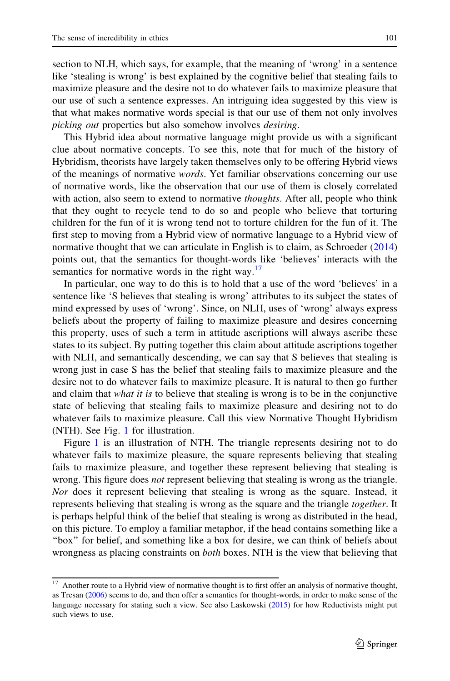section to NLH, which says, for example, that the meaning of 'wrong' in a sentence like 'stealing is wrong' is best explained by the cognitive belief that stealing fails to maximize pleasure and the desire not to do whatever fails to maximize pleasure that our use of such a sentence expresses. An intriguing idea suggested by this view is that what makes normative words special is that our use of them not only involves picking out properties but also somehow involves desiring.

This Hybrid idea about normative language might provide us with a significant clue about normative concepts. To see this, note that for much of the history of Hybridism, theorists have largely taken themselves only to be offering Hybrid views of the meanings of normative words. Yet familiar observations concerning our use of normative words, like the observation that our use of them is closely correlated with action, also seem to extend to normative *thoughts*. After all, people who think that they ought to recycle tend to do so and people who believe that torturing children for the fun of it is wrong tend not to torture children for the fun of it. The first step to moving from a Hybrid view of normative language to a Hybrid view of normative thought that we can articulate in English is to claim, as Schroeder [\(2014\)](#page-22-0) points out, that the semantics for thought-words like 'believes' interacts with the semantics for normative words in the right way. $17$ 

In particular, one way to do this is to hold that a use of the word 'believes' in a sentence like 'S believes that stealing is wrong' attributes to its subject the states of mind expressed by uses of 'wrong'. Since, on NLH, uses of 'wrong' always express beliefs about the property of failing to maximize pleasure and desires concerning this property, uses of such a term in attitude ascriptions will always ascribe these states to its subject. By putting together this claim about attitude ascriptions together with NLH, and semantically descending, we can say that S believes that stealing is wrong just in case S has the belief that stealing fails to maximize pleasure and the desire not to do whatever fails to maximize pleasure. It is natural to then go further and claim that what it is to believe that stealing is wrong is to be in the conjunctive state of believing that stealing fails to maximize pleasure and desiring not to do whatever fails to maximize pleasure. Call this view Normative Thought Hybridism (NTH). See Fig. [1](#page-9-0) for illustration.

Figure [1](#page-9-0) is an illustration of NTH. The triangle represents desiring not to do whatever fails to maximize pleasure, the square represents believing that stealing fails to maximize pleasure, and together these represent believing that stealing is wrong. This figure does *not* represent believing that stealing is wrong as the triangle. Nor does it represent believing that stealing is wrong as the square. Instead, it represents believing that stealing is wrong as the square and the triangle *together*. It is perhaps helpful think of the belief that stealing is wrong as distributed in the head, on this picture. To employ a familiar metaphor, if the head contains something like a ''box'' for belief, and something like a box for desire, we can think of beliefs about wrongness as placing constraints on *both* boxes. NTH is the view that believing that

Another route to a Hybrid view of normative thought is to first offer an analysis of normative thought, as Tresan [\(2006\)](#page-22-0) seems to do, and then offer a semantics for thought-words, in order to make sense of the language necessary for stating such a view. See also Laskowski [\(2015](#page-22-0)) for how Reductivists might put such views to use.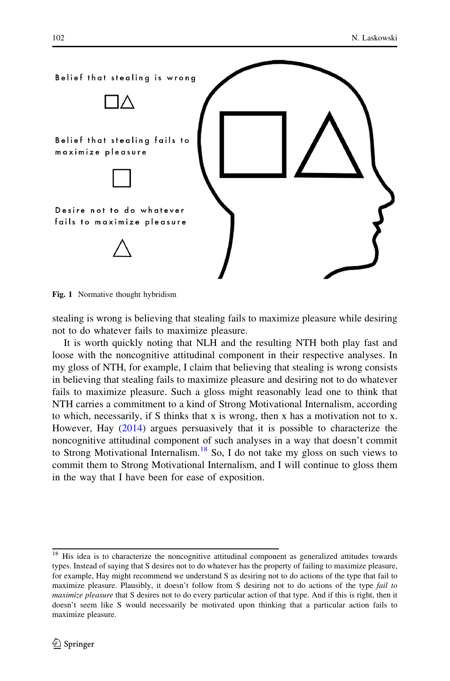<span id="page-9-0"></span>

Fig. 1 Normative thought hybridism

stealing is wrong is believing that stealing fails to maximize pleasure while desiring not to do whatever fails to maximize pleasure.

It is worth quickly noting that NLH and the resulting NTH both play fast and loose with the noncognitive attitudinal component in their respective analyses. In my gloss of NTH, for example, I claim that believing that stealing is wrong consists in believing that stealing fails to maximize pleasure and desiring not to do whatever fails to maximize pleasure. Such a gloss might reasonably lead one to think that NTH carries a commitment to a kind of Strong Motivational Internalism, according to which, necessarily, if S thinks that x is wrong, then x has a motivation not to x. However, Hay [\(2014](#page-21-0)) argues persuasively that it is possible to characterize the noncognitive attitudinal component of such analyses in a way that doesn't commit to Strong Motivational Internalism.<sup>18</sup> So, I do not take my gloss on such views to commit them to Strong Motivational Internalism, and I will continue to gloss them in the way that I have been for ease of exposition.

<sup>&</sup>lt;sup>18</sup> His idea is to characterize the noncognitive attitudinal component as generalized attitudes towards types. Instead of saying that S desires not to do whatever has the property of failing to maximize pleasure, for example, Hay might recommend we understand S as desiring not to do actions of the type that fail to maximize pleasure. Plausibly, it doesn't follow from S desiring not to do actions of the type *fail to* maximize pleasure that S desires not to do every particular action of that type. And if this is right, then it doesn't seem like S would necessarily be motivated upon thinking that a particular action fails to maximize pleasure.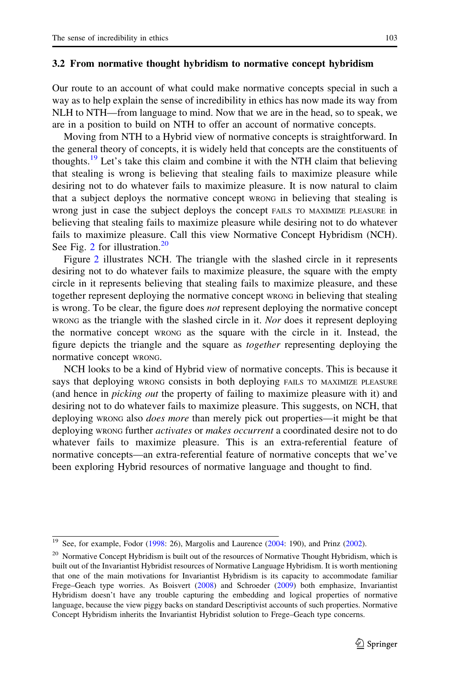### 3.2 From normative thought hybridism to normative concept hybridism

Our route to an account of what could make normative concepts special in such a way as to help explain the sense of incredibility in ethics has now made its way from NLH to NTH—from language to mind. Now that we are in the head, so to speak, we are in a position to build on NTH to offer an account of normative concepts.

Moving from NTH to a Hybrid view of normative concepts is straightforward. In the general theory of concepts, it is widely held that concepts are the constituents of thoughts.<sup>19</sup> Let's take this claim and combine it with the NTH claim that believing that stealing is wrong is believing that stealing fails to maximize pleasure while desiring not to do whatever fails to maximize pleasure. It is now natural to claim that a subject deploys the normative concept WRONG in believing that stealing is wrong just in case the subject deploys the concept FAILS TO MAXIMIZE PLEASURE in believing that stealing fails to maximize pleasure while desiring not to do whatever fails to maximize pleasure. Call this view Normative Concept Hybridism (NCH). See Fig. [2](#page-11-0) for illustration.<sup>20</sup>

Figure [2](#page-11-0) illustrates NCH. The triangle with the slashed circle in it represents desiring not to do whatever fails to maximize pleasure, the square with the empty circle in it represents believing that stealing fails to maximize pleasure, and these together represent deploying the normative concept WRONG in believing that stealing is wrong. To be clear, the figure does *not* represent deploying the normative concept WRONG as the triangle with the slashed circle in it. Nor does it represent deploying the normative concept WRONG as the square with the circle in it. Instead, the figure depicts the triangle and the square as together representing deploying the normative concept WRONG.

NCH looks to be a kind of Hybrid view of normative concepts. This is because it says that deploying wrong consists in both deploying FAILS TO MAXIMIZE PLEASURE (and hence in picking out the property of failing to maximize pleasure with it) and desiring not to do whatever fails to maximize pleasure. This suggests, on NCH, that deploying wrong also *does more* than merely pick out properties—it might be that deploying wrong further *activates* or *makes occurrent* a coordinated desire not to do whatever fails to maximize pleasure. This is an extra-referential feature of normative concepts—an extra-referential feature of normative concepts that we've been exploring Hybrid resources of normative language and thought to find.

<sup>&</sup>lt;sup>19</sup> See, for example, Fodor [\(1998:](#page-21-0) 26), Margolis and Laurence ([2004:](#page-22-0) 190), and Prinz ([2002\)](#page-22-0).

<sup>&</sup>lt;sup>20</sup> Normative Concept Hybridism is built out of the resources of Normative Thought Hybridism, which is built out of the Invariantist Hybridist resources of Normative Language Hybridism. It is worth mentioning that one of the main motivations for Invariantist Hybridism is its capacity to accommodate familiar Frege–Geach type worries. As Boisvert ([2008\)](#page-21-0) and Schroeder ([2009\)](#page-22-0) both emphasize, Invariantist Hybridism doesn't have any trouble capturing the embedding and logical properties of normative language, because the view piggy backs on standard Descriptivist accounts of such properties. Normative Concept Hybridism inherits the Invariantist Hybridist solution to Frege–Geach type concerns.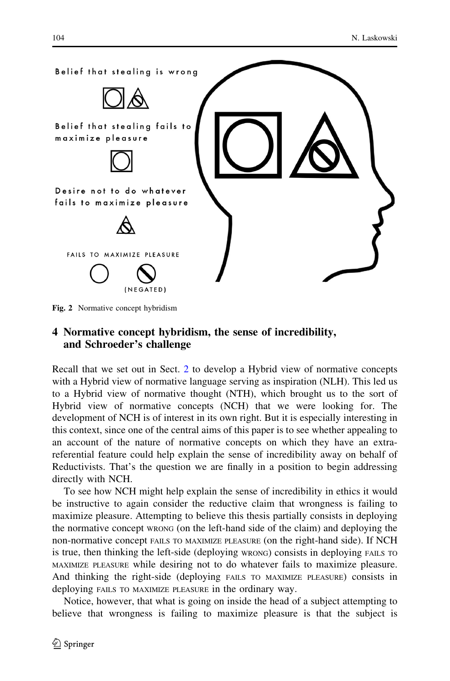<span id="page-11-0"></span>

Fig. 2 Normative concept hybridism

# 4 Normative concept hybridism, the sense of incredibility, and Schroeder's challenge

Recall that we set out in Sect. [2](#page-2-0) to develop a Hybrid view of normative concepts with a Hybrid view of normative language serving as inspiration (NLH). This led us to a Hybrid view of normative thought (NTH), which brought us to the sort of Hybrid view of normative concepts (NCH) that we were looking for. The development of NCH is of interest in its own right. But it is especially interesting in this context, since one of the central aims of this paper is to see whether appealing to an account of the nature of normative concepts on which they have an extrareferential feature could help explain the sense of incredibility away on behalf of Reductivists. That's the question we are finally in a position to begin addressing directly with NCH.

To see how NCH might help explain the sense of incredibility in ethics it would be instructive to again consider the reductive claim that wrongness is failing to maximize pleasure. Attempting to believe this thesis partially consists in deploying the normative concept WRONG (on the left-hand side of the claim) and deploying the non-normative concept FAILS TO MAXIMIZE PLEASURE (on the right-hand side). If NCH is true, then thinking the left-side (deploying WRONG) consists in deploying FAILS TO MAXIMIZE PLEASURE while desiring not to do whatever fails to maximize pleasure. And thinking the right-side (deploying FAILS TO MAXIMIZE PLEASURE) consists in deploying FAILS TO MAXIMIZE PLEASURE in the ordinary way.

Notice, however, that what is going on inside the head of a subject attempting to believe that wrongness is failing to maximize pleasure is that the subject is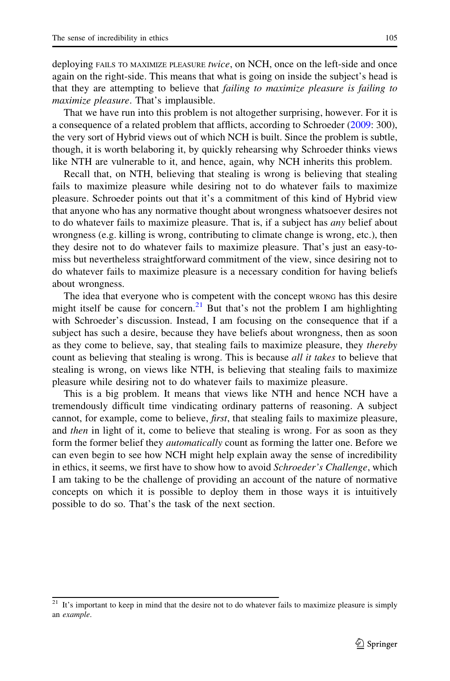deploying FAILS TO MAXIMIZE PLEASURE twice, on NCH, once on the left-side and once again on the right-side. This means that what is going on inside the subject's head is that they are attempting to believe that *failing to maximize pleasure is failing to* maximize pleasure. That's implausible.

That we have run into this problem is not altogether surprising, however. For it is a consequence of a related problem that afflicts, according to Schroeder [\(2009](#page-22-0): 300), the very sort of Hybrid views out of which NCH is built. Since the problem is subtle, though, it is worth belaboring it, by quickly rehearsing why Schroeder thinks views like NTH are vulnerable to it, and hence, again, why NCH inherits this problem.

Recall that, on NTH, believing that stealing is wrong is believing that stealing fails to maximize pleasure while desiring not to do whatever fails to maximize pleasure. Schroeder points out that it's a commitment of this kind of Hybrid view that anyone who has any normative thought about wrongness whatsoever desires not to do whatever fails to maximize pleasure. That is, if a subject has any belief about wrongness (e.g. killing is wrong, contributing to climate change is wrong, etc.), then they desire not to do whatever fails to maximize pleasure. That's just an easy-tomiss but nevertheless straightforward commitment of the view, since desiring not to do whatever fails to maximize pleasure is a necessary condition for having beliefs about wrongness.

The idea that everyone who is competent with the concept WRONG has this desire might itself be cause for concern.<sup>21</sup> But that's not the problem I am highlighting with Schroeder's discussion. Instead, I am focusing on the consequence that if a subject has such a desire, because they have beliefs about wrongness, then as soon as they come to believe, say, that stealing fails to maximize pleasure, they *thereby* count as believing that stealing is wrong. This is because *all it takes* to believe that stealing is wrong, on views like NTH, is believing that stealing fails to maximize pleasure while desiring not to do whatever fails to maximize pleasure.

This is a big problem. It means that views like NTH and hence NCH have a tremendously difficult time vindicating ordinary patterns of reasoning. A subject cannot, for example, come to believe, first, that stealing fails to maximize pleasure, and *then* in light of it, come to believe that stealing is wrong. For as soon as they form the former belief they automatically count as forming the latter one. Before we can even begin to see how NCH might help explain away the sense of incredibility in ethics, it seems, we first have to show how to avoid *Schroeder's Challenge*, which I am taking to be the challenge of providing an account of the nature of normative concepts on which it is possible to deploy them in those ways it is intuitively possible to do so. That's the task of the next section.

It's important to keep in mind that the desire not to do whatever fails to maximize pleasure is simply an example.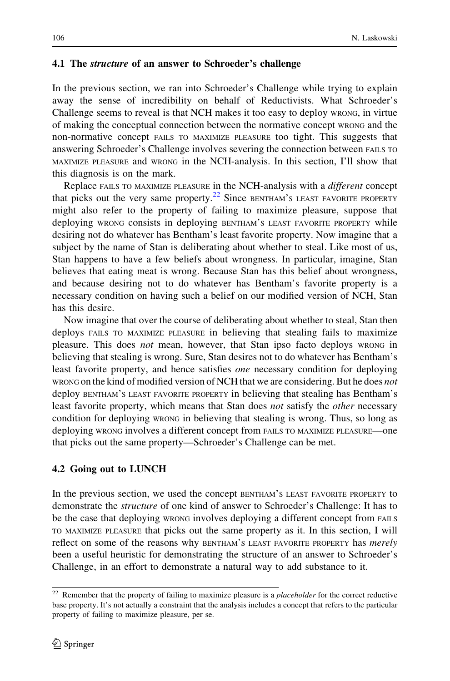### 4.1 The structure of an answer to Schroeder's challenge

In the previous section, we ran into Schroeder's Challenge while trying to explain away the sense of incredibility on behalf of Reductivists. What Schroeder's Challenge seems to reveal is that NCH makes it too easy to deploy WRONG, in virtue of making the conceptual connection between the normative concept WRONG and the non-normative concept FAILS TO MAXIMIZE PLEASURE too tight. This suggests that answering Schroeder's Challenge involves severing the connection between FAILS TO MAXIMIZE PLEASURE and WRONG in the NCH-analysis. In this section, I'll show that this diagnosis is on the mark.

Replace FAILS TO MAXIMIZE PLEASURE in the NCH-analysis with a different concept that picks out the very same property.<sup>22</sup> Since BENTHAM'S LEAST FAVORITE PROPERTY might also refer to the property of failing to maximize pleasure, suppose that deploying WRONG consists in deploying BENTHAM'S LEAST FAVORITE PROPERTY while desiring not do whatever has Bentham's least favorite property. Now imagine that a subject by the name of Stan is deliberating about whether to steal. Like most of us, Stan happens to have a few beliefs about wrongness. In particular, imagine, Stan believes that eating meat is wrong. Because Stan has this belief about wrongness, and because desiring not to do whatever has Bentham's favorite property is a necessary condition on having such a belief on our modified version of NCH, Stan has this desire.

Now imagine that over the course of deliberating about whether to steal, Stan then deploys FAILS TO MAXIMIZE PLEASURE in believing that stealing fails to maximize pleasure. This does *not* mean, however, that Stan ipso facto deploys wrong in believing that stealing is wrong. Sure, Stan desires not to do whatever has Bentham's least favorite property, and hence satisfies one necessary condition for deploying WRONG on the kind of modified version of NCH that we are considering. But he does not deploy BENTHAM'S LEAST FAVORITE PROPERTY in believing that stealing has Bentham's least favorite property, which means that Stan does not satisfy the other necessary condition for deploying WRONG in believing that stealing is wrong. Thus, so long as deploying WRONG involves a different concept from FAILS TO MAXIMIZE PLEASURE—one that picks out the same property—Schroeder's Challenge can be met.

### 4.2 Going out to LUNCH

In the previous section, we used the concept BENTHAM'S LEAST FAVORITE PROPERTY to demonstrate the structure of one kind of answer to Schroeder's Challenge: It has to be the case that deploying WRONG involves deploying a different concept from FAILS TO MAXIMIZE PLEASURE that picks out the same property as it. In this section, I will reflect on some of the reasons why BENTHAM'S LEAST FAVORITE PROPERTY has *merely* been a useful heuristic for demonstrating the structure of an answer to Schroeder's Challenge, in an effort to demonstrate a natural way to add substance to it.

 $22$  Remember that the property of failing to maximize pleasure is a *placeholder* for the correct reductive base property. It's not actually a constraint that the analysis includes a concept that refers to the particular property of failing to maximize pleasure, per se.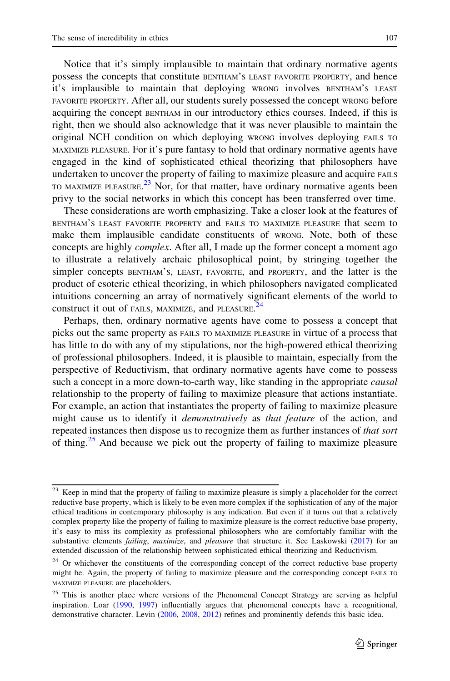Notice that it's simply implausible to maintain that ordinary normative agents possess the concepts that constitute BENTHAM'S LEAST FAVORITE PROPERTY, and hence it's implausible to maintain that deploying WRONG involves BENTHAM'S LEAST FAVORITE PROPERTY. After all, our students surely possessed the concept WRONG before acquiring the concept BENTHAM in our introductory ethics courses. Indeed, if this is right, then we should also acknowledge that it was never plausible to maintain the original NCH condition on which deploying WRONG involves deploying FAILS TO MAXIMIZE PLEASURE. For it's pure fantasy to hold that ordinary normative agents have engaged in the kind of sophisticated ethical theorizing that philosophers have undertaken to uncover the property of failing to maximize pleasure and acquire FAILS TO MAXIMIZE PLEASURE. $^{23}$  Nor, for that matter, have ordinary normative agents been privy to the social networks in which this concept has been transferred over time.

These considerations are worth emphasizing. Take a closer look at the features of BENTHAM'S LEAST FAVORITE PROPERTY and FAILS TO MAXIMIZE PLEASURE that seem to make them implausible candidate constituents of WRONG. Note, both of these concepts are highly *complex*. After all, I made up the former concept a moment ago to illustrate a relatively archaic philosophical point, by stringing together the simpler concepts BENTHAM'S, LEAST, FAVORITE, and PROPERTY, and the latter is the product of esoteric ethical theorizing, in which philosophers navigated complicated intuitions concerning an array of normatively significant elements of the world to construct it out of FAILS, MAXIMIZE, and PLEASURE.<sup>24</sup>

Perhaps, then, ordinary normative agents have come to possess a concept that picks out the same property as FAILS TO MAXIMIZE PLEASURE in virtue of a process that has little to do with any of my stipulations, nor the high-powered ethical theorizing of professional philosophers. Indeed, it is plausible to maintain, especially from the perspective of Reductivism, that ordinary normative agents have come to possess such a concept in a more down-to-earth way, like standing in the appropriate *causal* relationship to the property of failing to maximize pleasure that actions instantiate. For example, an action that instantiates the property of failing to maximize pleasure might cause us to identify it demonstratively as that feature of the action, and repeated instances then dispose us to recognize them as further instances of that sort of thing.<sup>25</sup> And because we pick out the property of failing to maximize pleasure

<sup>&</sup>lt;sup>23</sup> Keep in mind that the property of failing to maximize pleasure is simply a placeholder for the correct reductive base property, which is likely to be even more complex if the sophistication of any of the major ethical traditions in contemporary philosophy is any indication. But even if it turns out that a relatively complex property like the property of failing to maximize pleasure is the correct reductive base property, it's easy to miss its complexity as professional philosophers who are comfortably familiar with the substantive elements *failing*, *maximize*, and *pleasure* that structure it. See Laskowski [\(2017](#page-22-0)) for an extended discussion of the relationship between sophisticated ethical theorizing and Reductivism.

<sup>&</sup>lt;sup>24</sup> Or whichever the constituents of the corresponding concept of the correct reductive base property might be. Again, the property of failing to maximize pleasure and the corresponding concept FAILS TO MAXIMIZE PLEASURE are placeholders.

<sup>&</sup>lt;sup>25</sup> This is another place where versions of the Phenomenal Concept Strategy are serving as helpful inspiration. Loar [\(1990](#page-22-0), [1997](#page-22-0)) influentially argues that phenomenal concepts have a recognitional, demonstrative character. Levin ([2006,](#page-22-0) [2008](#page-22-0), [2012\)](#page-22-0) refines and prominently defends this basic idea.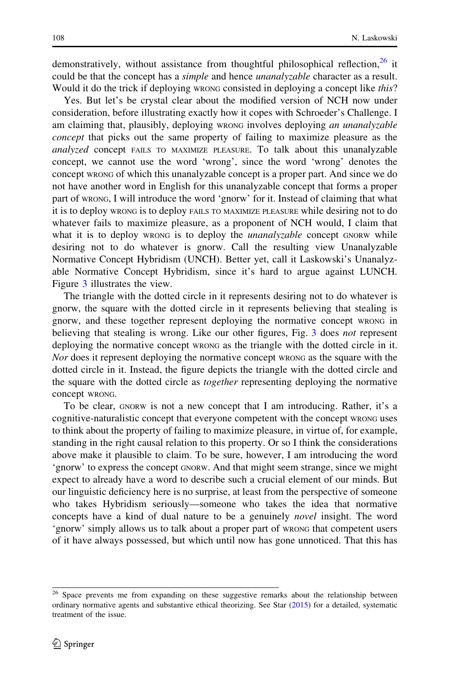demonstratively, without assistance from thoughtful philosophical reflection,<sup>26</sup> it could be that the concept has a *simple* and hence *unanalyzable* character as a result. Would it do the trick if deploying wrong consisted in deploying a concept like *this*?

Yes. But let's be crystal clear about the modified version of NCH now under consideration, before illustrating exactly how it copes with Schroeder's Challenge. I am claiming that, plausibly, deploying wrong involves deploying an unanalyzable concept that picks out the same property of failing to maximize pleasure as the analyzed concept FAILS TO MAXIMIZE PLEASURE. To talk about this unanalyzable concept, we cannot use the word 'wrong', since the word 'wrong' denotes the concept WRONG of which this unanalyzable concept is a proper part. And since we do not have another word in English for this unanalyzable concept that forms a proper part of WRONG, I will introduce the word 'gnorw' for it. Instead of claiming that what it is to deploy WRONG is to deploy FAILS TO MAXIMIZE PLEASURE while desiring not to do whatever fails to maximize pleasure, as a proponent of NCH would, I claim that what it is to deploy wrong is to deploy the *unanalyzable* concept GNORW while desiring not to do whatever is gnorw. Call the resulting view Unanalyzable Normative Concept Hybridism (UNCH). Better yet, call it Laskowski's Unanalyzable Normative Concept Hybridism, since it's hard to argue against LUNCH. Figure [3](#page-16-0) illustrates the view.

The triangle with the dotted circle in it represents desiring not to do whatever is gnorw, the square with the dotted circle in it represents believing that stealing is gnorw, and these together represent deploying the normative concept WRONG in believing that stealing is wrong. Like our other figures, Fig. [3](#page-16-0) does not represent deploying the normative concept WRONG as the triangle with the dotted circle in it. Nor does it represent deploying the normative concept wrong as the square with the dotted circle in it. Instead, the figure depicts the triangle with the dotted circle and the square with the dotted circle as *together* representing deploying the normative concept WRONG.

To be clear, GNORW is not a new concept that I am introducing. Rather, it's a cognitive-naturalistic concept that everyone competent with the concept WRONG uses to think about the property of failing to maximize pleasure, in virtue of, for example, standing in the right causal relation to this property. Or so I think the considerations above make it plausible to claim. To be sure, however, I am introducing the word 'gnorw' to express the concept GNORW. And that might seem strange, since we might expect to already have a word to describe such a crucial element of our minds. But our linguistic deficiency here is no surprise, at least from the perspective of someone who takes Hybridism seriously—someone who takes the idea that normative concepts have a kind of dual nature to be a genuinely novel insight. The word 'gnorw' simply allows us to talk about a proper part of WRONG that competent users of it have always possessed, but which until now has gone unnoticed. That this has

<sup>&</sup>lt;sup>26</sup> Space prevents me from expanding on these suggestive remarks about the relationship between ordinary normative agents and substantive ethical theorizing. See Star [\(2015](#page-22-0)) for a detailed, systematic treatment of the issue.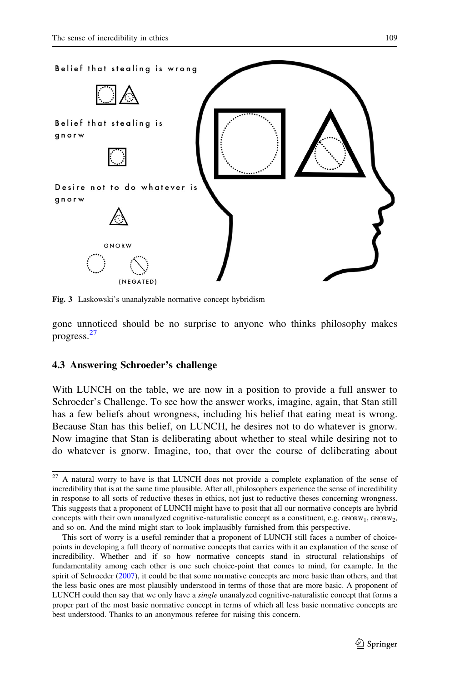<span id="page-16-0"></span>

Fig. 3 Laskowski's unanalyzable normative concept hybridism

gone unnoticed should be no surprise to anyone who thinks philosophy makes progress.<sup>27</sup>

### 4.3 Answering Schroeder's challenge

With LUNCH on the table, we are now in a position to provide a full answer to Schroeder's Challenge. To see how the answer works, imagine, again, that Stan still has a few beliefs about wrongness, including his belief that eating meat is wrong. Because Stan has this belief, on LUNCH, he desires not to do whatever is gnorw. Now imagine that Stan is deliberating about whether to steal while desiring not to do whatever is gnorw. Imagine, too, that over the course of deliberating about

<sup>27</sup> A natural worry to have is that LUNCH does not provide a complete explanation of the sense of incredibility that is at the same time plausible. After all, philosophers experience the sense of incredibility in response to all sorts of reductive theses in ethics, not just to reductive theses concerning wrongness. This suggests that a proponent of LUNCH might have to posit that all our normative concepts are hybrid concepts with their own unanalyzed cognitive-naturalistic concept as a constituent, e.g.  $GNOW<sub>1</sub>$ ,  $GNOW<sub>2</sub>$ , and so on. And the mind might start to look implausibly furnished from this perspective.

This sort of worry is a useful reminder that a proponent of LUNCH still faces a number of choicepoints in developing a full theory of normative concepts that carries with it an explanation of the sense of incredibility. Whether and if so how normative concepts stand in structural relationships of fundamentality among each other is one such choice-point that comes to mind, for example. In the spirit of Schroeder ([2007\)](#page-22-0), it could be that some normative concepts are more basic than others, and that the less basic ones are most plausibly understood in terms of those that are more basic. A proponent of LUNCH could then say that we only have a single unanalyzed cognitive-naturalistic concept that forms a proper part of the most basic normative concept in terms of which all less basic normative concepts are best understood. Thanks to an anonymous referee for raising this concern.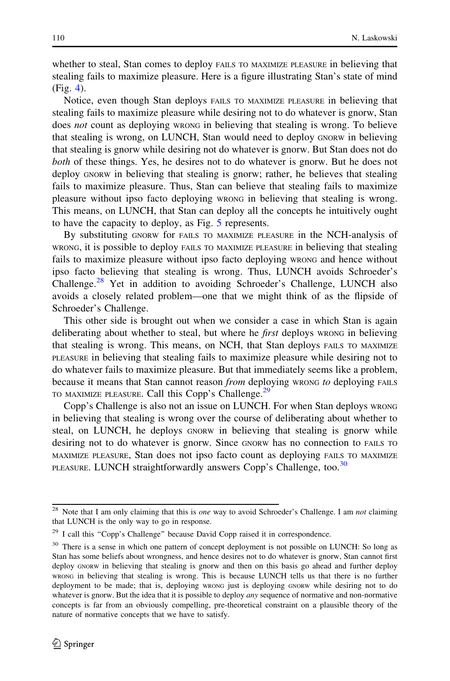whether to steal, Stan comes to deploy FAILS TO MAXIMIZE PLEASURE in believing that stealing fails to maximize pleasure. Here is a figure illustrating Stan's state of mind (Fig. [4](#page-18-0)).

Notice, even though Stan deploys FAILS TO MAXIMIZE PLEASURE in believing that stealing fails to maximize pleasure while desiring not to do whatever is gnorw, Stan does not count as deploying WRONG in believing that stealing is wrong. To believe that stealing is wrong, on LUNCH, Stan would need to deploy GNORW in believing that stealing is gnorw while desiring not do whatever is gnorw. But Stan does not do both of these things. Yes, he desires not to do whatever is gnorw. But he does not deploy GNORW in believing that stealing is gnorw; rather, he believes that stealing fails to maximize pleasure. Thus, Stan can believe that stealing fails to maximize pleasure without ipso facto deploying WRONG in believing that stealing is wrong. This means, on LUNCH, that Stan can deploy all the concepts he intuitively ought to have the capacity to deploy, as Fig. [5](#page-18-0) represents.

By substituting GNORW for FAILS TO MAXIMIZE PLEASURE in the NCH-analysis of WRONG, it is possible to deploy FAILS TO MAXIMIZE PLEASURE in believing that stealing fails to maximize pleasure without ipso facto deploying WRONG and hence without ipso facto believing that stealing is wrong. Thus, LUNCH avoids Schroeder's Challenge.<sup>28</sup> Yet in addition to avoiding Schroeder's Challenge, LUNCH also avoids a closely related problem—one that we might think of as the flipside of Schroeder's Challenge.

This other side is brought out when we consider a case in which Stan is again deliberating about whether to steal, but where he *first* deploys wrong in believing that stealing is wrong. This means, on NCH, that Stan deploys FAILS TO MAXIMIZE PLEASURE in believing that stealing fails to maximize pleasure while desiring not to do whatever fails to maximize pleasure. But that immediately seems like a problem, because it means that Stan cannot reason *from* deploying wrong to deploying FAILS TO MAXIMIZE PLEASURE. Call this Copp's Challenge.<sup>29</sup>

Copp's Challenge is also not an issue on LUNCH. For when Stan deploys WRONG in believing that stealing is wrong over the course of deliberating about whether to steal, on LUNCH, he deploys GNORW in believing that stealing is gnorw while desiring not to do whatever is gnorw. Since GNORW has no connection to FAILS TO MAXIMIZE PLEASURE, Stan does not ipso facto count as deploying FAILS TO MAXIMIZE PLEASURE. LUNCH straightforwardly answers Copp's Challenge, too. $30$ 

<sup>&</sup>lt;sup>28</sup> Note that I am only claiming that this is one way to avoid Schroeder's Challenge. I am not claiming that LUNCH is the only way to go in response.

<sup>&</sup>lt;sup>29</sup> I call this "Copp's Challenge" because David Copp raised it in correspondence.

<sup>&</sup>lt;sup>30</sup> There is a sense in which one pattern of concept deployment is not possible on LUNCH: So long as Stan has some beliefs about wrongness, and hence desires not to do whatever is gnorw, Stan cannot first deploy GNORW in believing that stealing is gnorw and then on this basis go ahead and further deploy WRONG in believing that stealing is wrong. This is because LUNCH tells us that there is no further deployment to be made; that is, deploying WRONG just is deploying GNORW while desiring not to do whatever is gnorw. But the idea that it is possible to deploy any sequence of normative and non-normative concepts is far from an obviously compelling, pre-theoretical constraint on a plausible theory of the nature of normative concepts that we have to satisfy.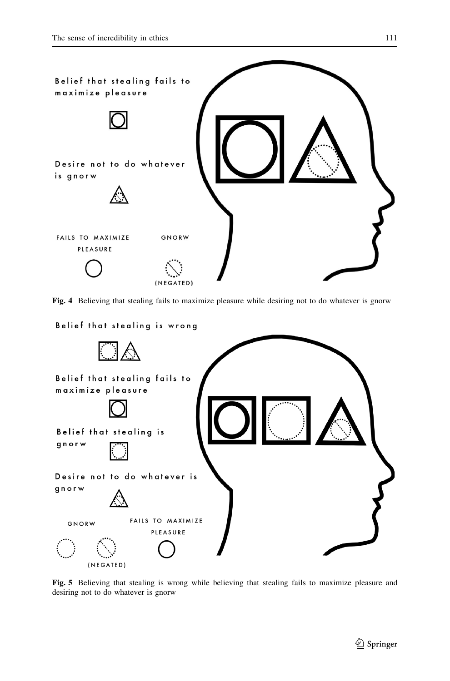<span id="page-18-0"></span>

Fig. 4 Believing that stealing fails to maximize pleasure while desiring not to do whatever is gnorw

```
Belief that stealing is wrong
```


Fig. 5 Believing that stealing is wrong while believing that stealing fails to maximize pleasure and desiring not to do whatever is gnorw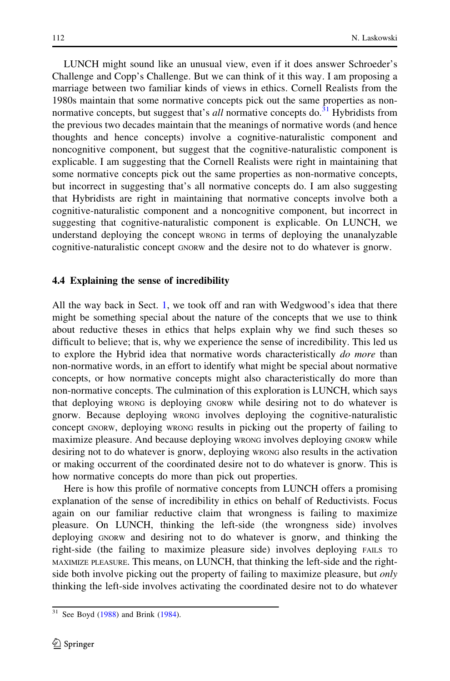LUNCH might sound like an unusual view, even if it does answer Schroeder's Challenge and Copp's Challenge. But we can think of it this way. I am proposing a marriage between two familiar kinds of views in ethics. Cornell Realists from the 1980s maintain that some normative concepts pick out the same properties as nonnormative concepts, but suggest that's *all* normative concepts do.<sup>31</sup> Hybridists from the previous two decades maintain that the meanings of normative words (and hence thoughts and hence concepts) involve a cognitive-naturalistic component and noncognitive component, but suggest that the cognitive-naturalistic component is explicable. I am suggesting that the Cornell Realists were right in maintaining that some normative concepts pick out the same properties as non-normative concepts, but incorrect in suggesting that's all normative concepts do. I am also suggesting that Hybridists are right in maintaining that normative concepts involve both a cognitive-naturalistic component and a noncognitive component, but incorrect in suggesting that cognitive-naturalistic component is explicable. On LUNCH, we understand deploying the concept WRONG in terms of deploying the unanalyzable cognitive-naturalistic concept GNORW and the desire not to do whatever is gnorw.

### 4.4 Explaining the sense of incredibility

All the way back in Sect. [1](#page-0-0), we took off and ran with Wedgwood's idea that there might be something special about the nature of the concepts that we use to think about reductive theses in ethics that helps explain why we find such theses so difficult to believe; that is, why we experience the sense of incredibility. This led us to explore the Hybrid idea that normative words characteristically *do more* than non-normative words, in an effort to identify what might be special about normative concepts, or how normative concepts might also characteristically do more than non-normative concepts. The culmination of this exploration is LUNCH, which says that deploying WRONG is deploying GNORW while desiring not to do whatever is gnorw. Because deploying WRONG involves deploying the cognitive-naturalistic concept GNORW, deploying WRONG results in picking out the property of failing to maximize pleasure. And because deploying wrong involves deploying GNORW while desiring not to do whatever is gnorw, deploying WRONG also results in the activation or making occurrent of the coordinated desire not to do whatever is gnorw. This is how normative concepts do more than pick out properties.

Here is how this profile of normative concepts from LUNCH offers a promising explanation of the sense of incredibility in ethics on behalf of Reductivists. Focus again on our familiar reductive claim that wrongness is failing to maximize pleasure. On LUNCH, thinking the left-side (the wrongness side) involves deploying GNORW and desiring not to do whatever is gnorw, and thinking the right-side (the failing to maximize pleasure side) involves deploying FAILS TO MAXIMIZE PLEASURE. This means, on LUNCH, that thinking the left-side and the rightside both involve picking out the property of failing to maximize pleasure, but *only* thinking the left-side involves activating the coordinated desire not to do whatever

 $31$  See Boyd ([1988\)](#page-21-0) and Brink [\(1984](#page-21-0)).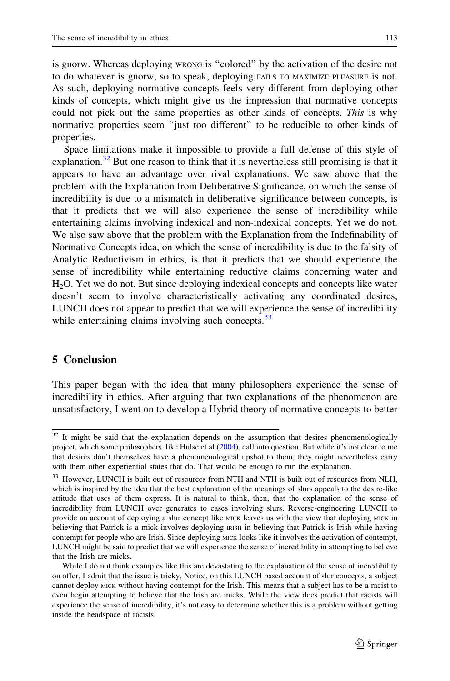is gnorw. Whereas deploying WRONG is ''colored'' by the activation of the desire not to do whatever is gnorw, so to speak, deploying FAILS TO MAXIMIZE PLEASURE is not. As such, deploying normative concepts feels very different from deploying other kinds of concepts, which might give us the impression that normative concepts could not pick out the same properties as other kinds of concepts. This is why normative properties seem ''just too different'' to be reducible to other kinds of properties.

Space limitations make it impossible to provide a full defense of this style of explanation.<sup>32</sup> But one reason to think that it is nevertheless still promising is that it appears to have an advantage over rival explanations. We saw above that the problem with the Explanation from Deliberative Significance, on which the sense of incredibility is due to a mismatch in deliberative significance between concepts, is that it predicts that we will also experience the sense of incredibility while entertaining claims involving indexical and non-indexical concepts. Yet we do not. We also saw above that the problem with the Explanation from the Indefinability of Normative Concepts idea, on which the sense of incredibility is due to the falsity of Analytic Reductivism in ethics, is that it predicts that we should experience the sense of incredibility while entertaining reductive claims concerning water and H2O. Yet we do not. But since deploying indexical concepts and concepts like water doesn't seem to involve characteristically activating any coordinated desires, LUNCH does not appear to predict that we will experience the sense of incredibility while entertaining claims involving such concepts.<sup>33</sup>

### 5 Conclusion

This paper began with the idea that many philosophers experience the sense of incredibility in ethics. After arguing that two explanations of the phenomenon are unsatisfactory, I went on to develop a Hybrid theory of normative concepts to better

<sup>&</sup>lt;sup>32</sup> It might be said that the explanation depends on the assumption that desires phenomenologically project, which some philosophers, like Hulse et al [\(2004](#page-21-0)), call into question. But while it's not clear to me that desires don't themselves have a phenomenological upshot to them, they might nevertheless carry with them other experiential states that do. That would be enough to run the explanation.

<sup>&</sup>lt;sup>33</sup> However, LUNCH is built out of resources from NTH and NTH is built out of resources from NLH, which is inspired by the idea that the best explanation of the meanings of slurs appeals to the desire-like attitude that uses of them express. It is natural to think, then, that the explanation of the sense of incredibility from LUNCH over generates to cases involving slurs. Reverse-engineering LUNCH to provide an account of deploying a slur concept like MICK leaves us with the view that deploying MICK in believing that Patrick is a mick involves deploying  $IRISH$  in believing that Patrick is Irish while having contempt for people who are Irish. Since deploying MICK looks like it involves the activation of contempt, LUNCH might be said to predict that we will experience the sense of incredibility in attempting to believe that the Irish are micks.

While I do not think examples like this are devastating to the explanation of the sense of incredibility on offer, I admit that the issue is tricky. Notice, on this LUNCH based account of slur concepts, a subject cannot deploy MICK without having contempt for the Irish. This means that a subject has to be a racist to even begin attempting to believe that the Irish are micks. While the view does predict that racists will experience the sense of incredibility, it's not easy to determine whether this is a problem without getting inside the headspace of racists.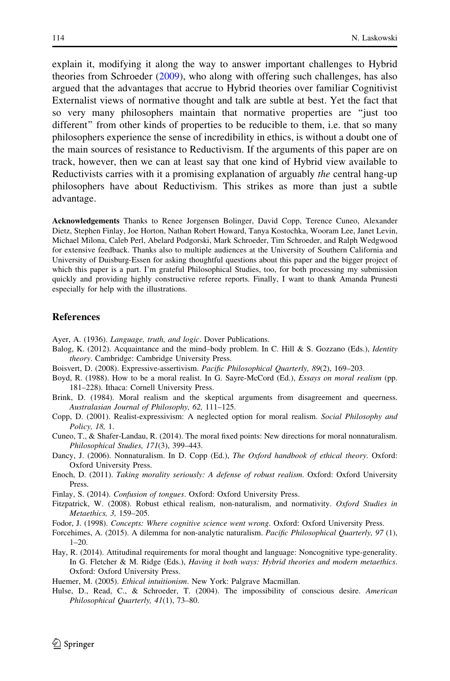<span id="page-21-0"></span>explain it, modifying it along the way to answer important challenges to Hybrid theories from Schroeder [\(2009](#page-22-0)), who along with offering such challenges, has also argued that the advantages that accrue to Hybrid theories over familiar Cognitivist Externalist views of normative thought and talk are subtle at best. Yet the fact that so very many philosophers maintain that normative properties are ''just too different'' from other kinds of properties to be reducible to them, i.e. that so many philosophers experience the sense of incredibility in ethics, is without a doubt one of the main sources of resistance to Reductivism. If the arguments of this paper are on track, however, then we can at least say that one kind of Hybrid view available to Reductivists carries with it a promising explanation of arguably the central hang-up philosophers have about Reductivism. This strikes as more than just a subtle advantage.

Acknowledgements Thanks to Renee Jorgensen Bolinger, David Copp, Terence Cuneo, Alexander Dietz, Stephen Finlay, Joe Horton, Nathan Robert Howard, Tanya Kostochka, Wooram Lee, Janet Levin, Michael Milona, Caleb Perl, Abelard Podgorski, Mark Schroeder, Tim Schroeder, and Ralph Wedgwood for extensive feedback. Thanks also to multiple audiences at the University of Southern California and University of Duisburg-Essen for asking thoughtful questions about this paper and the bigger project of which this paper is a part. I'm grateful Philosophical Studies, too, for both processing my submission quickly and providing highly constructive referee reports. Finally, I want to thank Amanda Prunesti especially for help with the illustrations.

### References

Ayer, A. (1936). *Language, truth, and logic*. Dover Publications.

- Balog, K. (2012). Acquaintance and the mind–body problem. In C. Hill & S. Gozzano (Eds.), Identity theory. Cambridge: Cambridge University Press.
- Boisvert, D. (2008). Expressive-assertivism. Pacific Philosophical Quarterly, 89(2), 169–203.
- Boyd, R. (1988). How to be a moral realist. In G. Sayre-McCord (Ed.), Essays on moral realism (pp. 181–228). Ithaca: Cornell University Press.
- Brink, D. (1984). Moral realism and the skeptical arguments from disagreement and queerness. Australasian Journal of Philosophy, 62, 111–125.
- Copp, D. (2001). Realist-expressivism: A neglected option for moral realism. Social Philosophy and Policy, 18, 1.
- Cuneo, T., & Shafer-Landau, R. (2014). The moral fixed points: New directions for moral nonnaturalism. Philosophical Studies, 171(3), 399–443.
- Dancy, J. (2006). Nonnaturalism. In D. Copp (Ed.), The Oxford handbook of ethical theory. Oxford: Oxford University Press.
- Enoch, D. (2011). Taking morality seriously: A defense of robust realism. Oxford: Oxford University Press.
- Finlay, S. (2014). Confusion of tongues. Oxford: Oxford University Press.
- Fitzpatrick, W. (2008). Robust ethical realism, non-naturalism, and normativity. Oxford Studies in Metaethics, 3, 159–205.
- Fodor, J. (1998). Concepts: Where cognitive science went wrong. Oxford: Oxford University Press.
- Forcehimes, A. (2015). A dilemma for non-analytic naturalism. Pacific Philosophical Quarterly, 97 (1),  $1 - 20.$
- Hay, R. (2014). Attitudinal requirements for moral thought and language: Noncognitive type-generality. In G. Fletcher & M. Ridge (Eds.), Having it both ways: Hybrid theories and modern metaethics. Oxford: Oxford University Press.
- Huemer, M. (2005). Ethical intuitionism. New York: Palgrave Macmillan.
- Hulse, D., Read, C., & Schroeder, T. (2004). The impossibility of conscious desire. American Philosophical Quarterly, 41(1), 73–80.